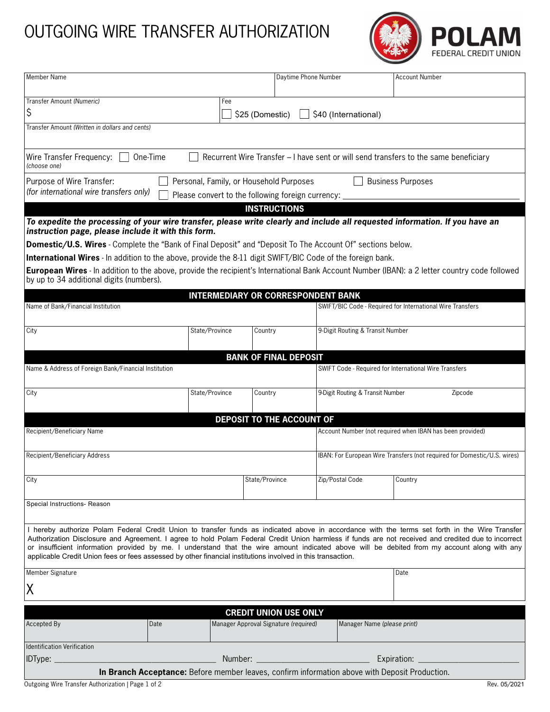## OUTGOING WIRE TRANSFER AUTHORIZATION



| Member Name                                                                                                                                                                                                                                                                                                                                                                                                                                                                                                                                                          |                |                                       | Daytime Phone Number                      |                                                                          | <b>Account Number</b>                                      |  |
|----------------------------------------------------------------------------------------------------------------------------------------------------------------------------------------------------------------------------------------------------------------------------------------------------------------------------------------------------------------------------------------------------------------------------------------------------------------------------------------------------------------------------------------------------------------------|----------------|---------------------------------------|-------------------------------------------|--------------------------------------------------------------------------|------------------------------------------------------------|--|
| Transfer Amount (Numeric)                                                                                                                                                                                                                                                                                                                                                                                                                                                                                                                                            |                | Fee                                   |                                           |                                                                          |                                                            |  |
| \$<br>\$25 (Domestic)<br>\$40 (International)                                                                                                                                                                                                                                                                                                                                                                                                                                                                                                                        |                |                                       |                                           |                                                                          |                                                            |  |
| Transfer Amount (Written in dollars and cents)                                                                                                                                                                                                                                                                                                                                                                                                                                                                                                                       |                |                                       |                                           |                                                                          |                                                            |  |
| One-Time<br>Recurrent Wire Transfer - I have sent or will send transfers to the same beneficiary<br>Wire Transfer Frequency:<br>(choose one)                                                                                                                                                                                                                                                                                                                                                                                                                         |                |                                       |                                           |                                                                          |                                                            |  |
| Purpose of Wire Transfer:<br><b>Business Purposes</b><br>Personal, Family, or Household Purposes<br>(for international wire transfers only)<br>Please convert to the following foreign currency: _                                                                                                                                                                                                                                                                                                                                                                   |                |                                       |                                           |                                                                          |                                                            |  |
| <b>INSTRUCTIONS</b>                                                                                                                                                                                                                                                                                                                                                                                                                                                                                                                                                  |                |                                       |                                           |                                                                          |                                                            |  |
| To expedite the processing of your wire transfer, please write clearly and include all requested information. If you have an<br>instruction page, please include it with this form.                                                                                                                                                                                                                                                                                                                                                                                  |                |                                       |                                           |                                                                          |                                                            |  |
| Domestic/U.S. Wires - Complete the "Bank of Final Deposit" and "Deposit To The Account Of" sections below.                                                                                                                                                                                                                                                                                                                                                                                                                                                           |                |                                       |                                           |                                                                          |                                                            |  |
| <b>International Wires</b> - In addition to the above, provide the 8-11 digit SWIFT/BIC Code of the foreign bank.                                                                                                                                                                                                                                                                                                                                                                                                                                                    |                |                                       |                                           |                                                                          |                                                            |  |
| European Wires - In addition to the above, provide the recipient's International Bank Account Number (IBAN): a 2 letter country code followed<br>by up to 34 additional digits (numbers).                                                                                                                                                                                                                                                                                                                                                                            |                |                                       |                                           |                                                                          |                                                            |  |
|                                                                                                                                                                                                                                                                                                                                                                                                                                                                                                                                                                      |                |                                       | <b>INTERMEDIARY OR CORRESPONDENT BANK</b> |                                                                          |                                                            |  |
| Name of Bank/Financial Institution                                                                                                                                                                                                                                                                                                                                                                                                                                                                                                                                   |                |                                       |                                           |                                                                          | SWIFT/BIC Code - Required for International Wire Transfers |  |
| City                                                                                                                                                                                                                                                                                                                                                                                                                                                                                                                                                                 | State/Province | Country                               |                                           |                                                                          | 9-Digit Routing & Transit Number                           |  |
|                                                                                                                                                                                                                                                                                                                                                                                                                                                                                                                                                                      |                |                                       | <b>BANK OF FINAL DEPOSIT</b>              |                                                                          |                                                            |  |
| Name & Address of Foreign Bank/Financial Institution                                                                                                                                                                                                                                                                                                                                                                                                                                                                                                                 |                |                                       |                                           | SWIFT Code - Required for International Wire Transfers                   |                                                            |  |
| City                                                                                                                                                                                                                                                                                                                                                                                                                                                                                                                                                                 | State/Province | Country                               |                                           | 9-Digit Routing & Transit Number                                         | Zipcode                                                    |  |
| DEPOSIT TO THE ACCOUNT OF                                                                                                                                                                                                                                                                                                                                                                                                                                                                                                                                            |                |                                       |                                           |                                                                          |                                                            |  |
| Recipient/Beneficiary Name                                                                                                                                                                                                                                                                                                                                                                                                                                                                                                                                           |                |                                       |                                           | Account Number (not required when IBAN has been provided)                |                                                            |  |
| Recipient/Beneficiary Address                                                                                                                                                                                                                                                                                                                                                                                                                                                                                                                                        |                |                                       |                                           | IBAN: For European Wire Transfers (not required for Domestic/U.S. wires) |                                                            |  |
| City                                                                                                                                                                                                                                                                                                                                                                                                                                                                                                                                                                 |                | State/Province                        |                                           | Zip/Postal Code                                                          | Country                                                    |  |
| Special Instructions- Reason                                                                                                                                                                                                                                                                                                                                                                                                                                                                                                                                         |                |                                       |                                           |                                                                          |                                                            |  |
| I hereby authorize Polam Federal Credit Union to transfer funds as indicated above in accordance with the terms set forth in the Wire Transfer<br>Authorization Disclosure and Agreement. I agree to hold Polam Federal Credit Union harmless if funds are not received and credited due to incorrect<br>or insufficient information provided by me. I understand that the wire amount indicated above will be debited from my account along with any<br>applicable Credit Union fees or fees assessed by other financial institutions involved in this transaction. |                |                                       |                                           |                                                                          |                                                            |  |
| Member Signature                                                                                                                                                                                                                                                                                                                                                                                                                                                                                                                                                     |                |                                       |                                           |                                                                          | Date                                                       |  |
| ΙX                                                                                                                                                                                                                                                                                                                                                                                                                                                                                                                                                                   |                |                                       |                                           |                                                                          |                                                            |  |
| <b>CREDIT UNION USE ONLY</b>                                                                                                                                                                                                                                                                                                                                                                                                                                                                                                                                         |                |                                       |                                           |                                                                          |                                                            |  |
| Accepted By                                                                                                                                                                                                                                                                                                                                                                                                                                                                                                                                                          | Date           | Manager Approval Signature (required) |                                           | Manager Name (please print)                                              |                                                            |  |
| <b>Identification Verification</b>                                                                                                                                                                                                                                                                                                                                                                                                                                                                                                                                   |                |                                       |                                           |                                                                          |                                                            |  |
| Number:<br>IDType:<br>Expiration:                                                                                                                                                                                                                                                                                                                                                                                                                                                                                                                                    |                |                                       |                                           |                                                                          |                                                            |  |
| In Branch Acceptance: Before member leaves, confirm information above with Deposit Production.                                                                                                                                                                                                                                                                                                                                                                                                                                                                       |                |                                       |                                           |                                                                          |                                                            |  |